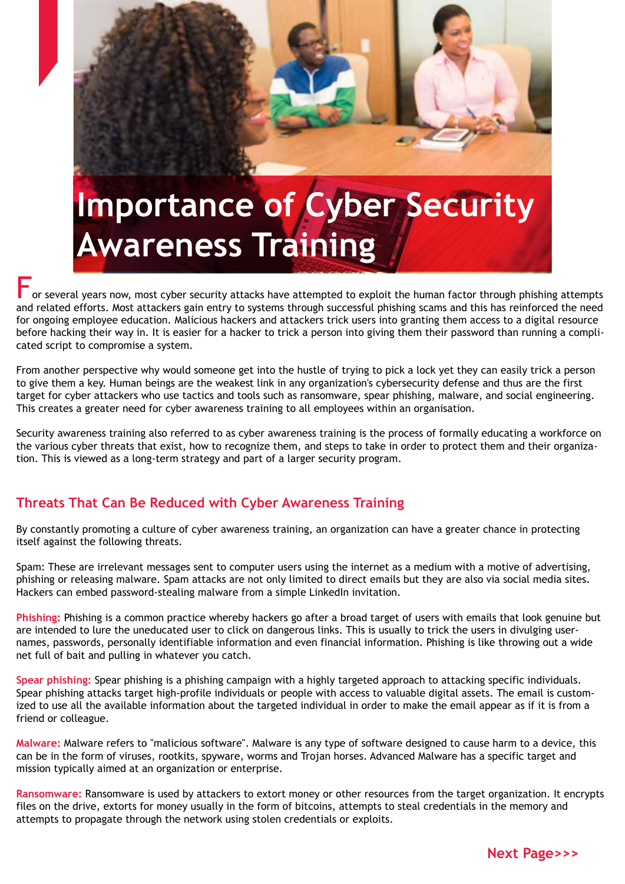

or several vears now, most cyber security attacks have attempted to exploit the human factor through phishing attempts and related efforts. Most attackers gain entry to systems through successful phishing scams and this has reinforced the need for ongoing employee education. Malicious hackers and attackers trick users into granting them access to a digital resource before hacking their way in. It is easier for a hacker to trick a person into giving them their password than running a complicated script to compromise a system.

From another perspective why would someone get into the hustle of trying to pick a lock yet they can easily trick a person to give them a key. Human beings are the weakest link in any organization's cybersecurity defense and thus are the first target for cyber attackers who use tactics and tools such as ransomware, spear phishing, malware, and social engineering. This creates a greater need for cyber awareness training to all employees within an organisation.

Security awareness training also referred to as cyber awareness training is the process of formally educating a workforce on the various cyber threats that exist, how to recognize them, and steps to take in order to protect them and their organization. This is viewed as a long-term strategy and part of a larger security program.

## **Threats That Can Be Reduced with Cyber Awareness Training**

By constantly promoting a culture of cyber awareness training, an organization can have a greater chance in protecting itself against the following threats.

Spam: These are irrelevant messages sent to computer users using the internet as a medium with a motive of advertising, phishing or releasing malware. Spam attacks are not only limited to direct emails but they are also via social media sites. Hackers can embed password-stealing malware from a simple LinkedIn invitation.

**Phishing:** Phishing is a common practice whereby hackers go after a broad target of users with emails that look genuine but are intended to lure the uneducated user to click on dangerous links. This is usually to trick the users in divulging usernames, passwords, personally identifiable information and even financial information. Phishing is like throwing out a wide net full of bait and pulling in whatever you catch.

**Spear phishing:** Spear phishing is a phishing campaign with a highly targeted approach to attacking specific individuals. Spear phishing attacks target high-profile individuals or people with access to valuable digital assets. The email is customized to use all the available information about the targeted individual in order to make the email appear as if it is from a friend or colleague.

**Malware:** Malware refers to "malicious software". Malware is any type of software designed to cause harm to a device, this can be in the form of viruses, rootkits, spyware, worms and Trojan horses. Advanced Malware has a specific target and mission typically aimed at an organization or enterprise.

**Ransomware:** Ransomware is used by attackers to extort money or other resources from the target organization. It encrypts files on the drive, extorts for money usually in the form of bitcoins, attempts to steal credentials in the memory and attempts to propagate through the network using stolen credentials or exploits.